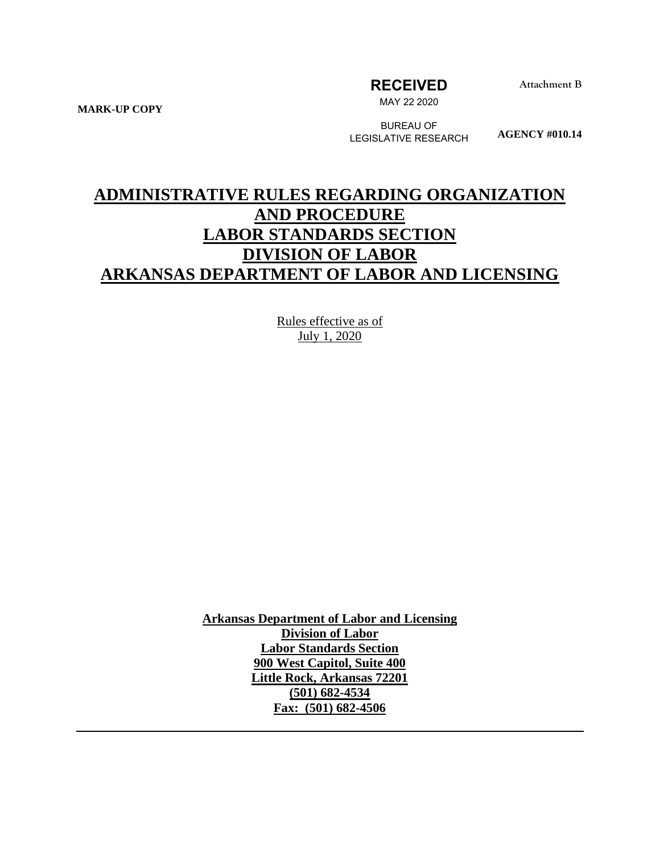**RECEIVED**

**Attachment B**

**MARK-UP COPY**

MAY 22 2020

BUREAU OF LEGISLATIVE RESEARCH

**AGENCY #010.14**

# **ADMINISTRATIVE RULES REGARDING ORGANIZATION AND PROCEDURE LABOR STANDARDS SECTION DIVISION OF LABOR ARKANSAS DEPARTMENT OF LABOR AND LICENSING**

Rules effective as of July 1, 2020

**Arkansas Department of Labor and Licensing Division of Labor Labor Standards Section 900 West Capitol, Suite 400 Little Rock, Arkansas 72201 (501) 682-4534 Fax: (501) 682-4506**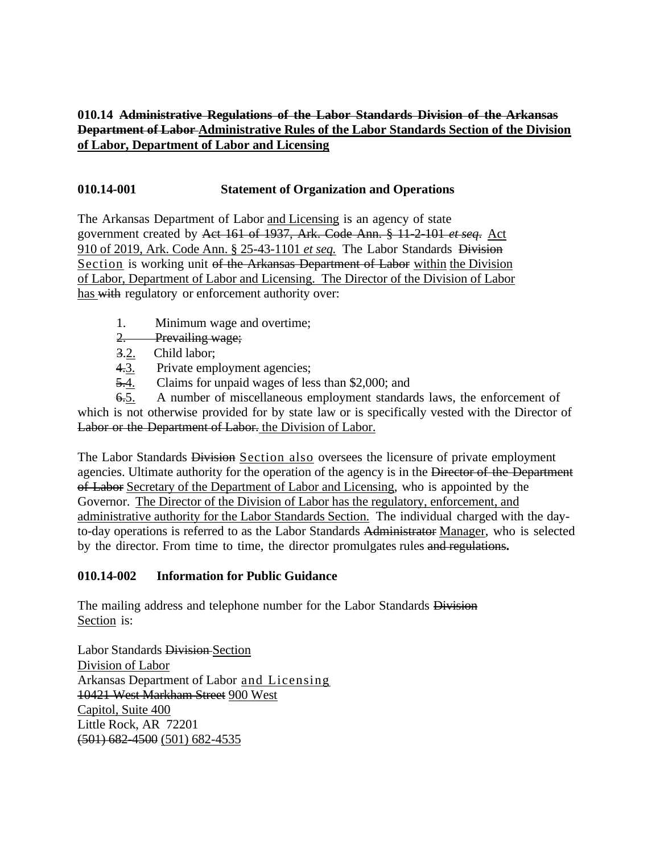## **010.14 Administrative Regulations of the Labor Standards Division of the Arkansas Department of Labor Administrative Rules of the Labor Standards Section of the Division of Labor, Department of Labor and Licensing**

## **010.14-001 Statement of Organization and Operations**

The Arkansas Department of Labor and Licensing is an agency of state government created by Act 161 of 1937, Ark. Code Ann. § 11-2-101 *et seq*. Act 910 of 2019, Ark. Code Ann. § 25-43-1101 *et seq.* The Labor Standards Division Section is working unit of the Arkansas Department of Labor within the Division of Labor, Department of Labor and Licensing. The Director of the Division of Labor has with regulatory or enforcement authority over:

- 1. Minimum wage and overtime;
- 2. Prevailing wage;
- 3.2. Child labor;
- 4.3. Private employment agencies;
- 5.4. Claims for unpaid wages of less than \$2,000; and

6.5. A number of miscellaneous employment standards laws, the enforcement of which is not otherwise provided for by state law or is specifically vested with the Director of Labor or the Department of Labor. the Division of Labor.

The Labor Standards Division Section also oversees the licensure of private employment agencies. Ultimate authority for the operation of the agency is in the Director of the Department of Labor Secretary of the Department of Labor and Licensing, who is appointed by the Governor. The Director of the Division of Labor has the regulatory, enforcement, and administrative authority for the Labor Standards Section. The individual charged with the dayto-day operations is referred to as the Labor Standards Administrator Manager, who is selected by the director. From time to time, the director promulgates rules and regulations**.**

## **010.14-002 Information for Public Guidance**

The mailing address and telephone number for the Labor Standards Division Section is:

Labor Standards Division Section Division of Labor Arkansas Department of Labor and Licensing 10421 West Markham Street 900 West Capitol, Suite 400 Little Rock, AR 72201 (501) 682-4500 (501) 682-4535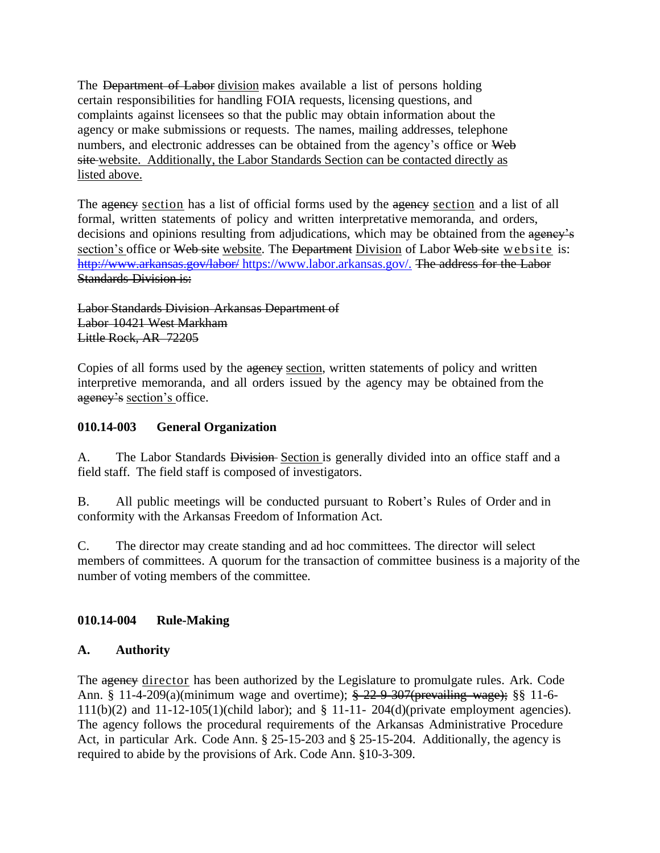The Department of Labor division makes available a list of persons holding certain responsibilities for handling FOIA requests, licensing questions, and complaints against licensees so that the public may obtain information about the agency or make submissions or requests. The names, mailing addresses, telephone numbers, and electronic addresses can be obtained from the agency's office or Web site website. Additionally, the Labor Standards Section can be contacted directly as listed above.

The agency section has a list of official forms used by the agency section and a list of all formal, written statements of policy and written interpretative memoranda, and orders, decisions and opinions resulting from adjudications, which may be obtained from the agency's section's office or Web site website. The Department Division of Labor Web site website is: http://www.arkansas.gov/labor/ [https://www.labor.arkansas.gov/.](http://www.arkansas.gov/labor/%20.) The address for the Labor Standards Division is:

Labor Standards Division Arkansas Department of Labor 10421 West Markham Little Rock, AR 72205

Copies of all forms used by the agency section, written statements of policy and written interpretive memoranda, and all orders issued by the agency may be obtained from the agency's section's office.

## **010.14-003 General Organization**

A. The Labor Standards Division-Section is generally divided into an office staff and a field staff. The field staff is composed of investigators.

B. All public meetings will be conducted pursuant to Robert's Rules of Order and in conformity with the Arkansas Freedom of Information Act.

C. The director may create standing and ad hoc committees. The director will select members of committees. A quorum for the transaction of committee business is a majority of the number of voting members of the committee.

## **010.14-004 Rule-Making**

## **A. Authority**

The agency director has been authorized by the Legislature to promulgate rules. Ark. Code Ann. § 11-4-209(a)(minimum wage and overtime); § 22-9-307(prevailing wage); §§ 11-6- 111(b)(2) and 11-12-105(1)(child labor); and § 11-11- 204(d)(private employment agencies). The agency follows the procedural requirements of the Arkansas Administrative Procedure Act, in particular Ark. Code Ann. § 25-15-203 and § 25-15-204. Additionally, the agency is required to abide by the provisions of Ark. Code Ann. §10-3-309.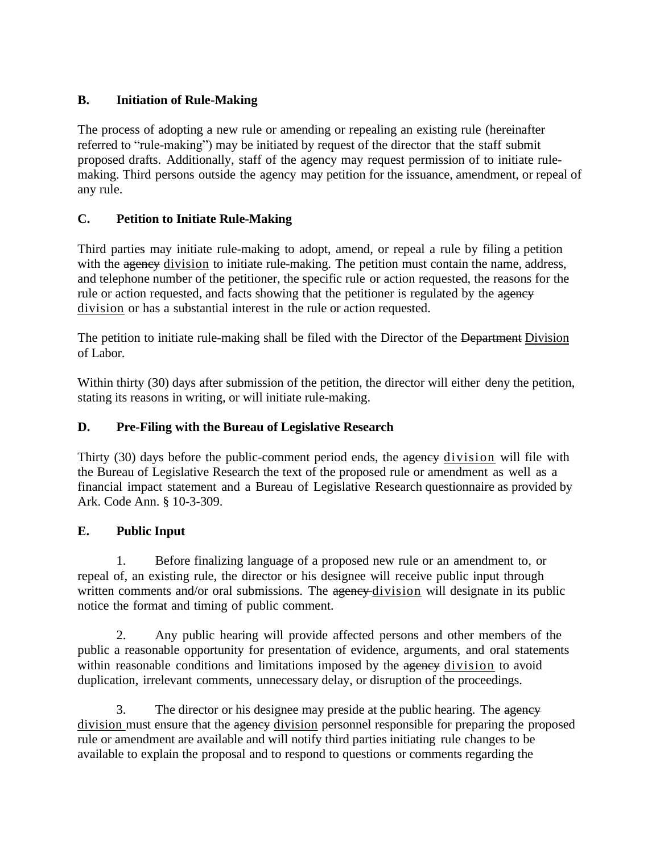## **B. Initiation of Rule-Making**

The process of adopting a new rule or amending or repealing an existing rule (hereinafter referred to "rule-making") may be initiated by request of the director that the staff submit proposed drafts. Additionally, staff of the agency may request permission of to initiate rulemaking. Third persons outside the agency may petition for the issuance, amendment, or repeal of any rule.

## **C. Petition to Initiate Rule-Making**

Third parties may initiate rule-making to adopt, amend, or repeal a rule by filing a petition with the agency division to initiate rule-making. The petition must contain the name, address, and telephone number of the petitioner, the specific rule or action requested, the reasons for the rule or action requested, and facts showing that the petitioner is regulated by the agency division or has a substantial interest in the rule or action requested.

The petition to initiate rule-making shall be filed with the Director of the Department Division of Labor.

Within thirty (30) days after submission of the petition, the director will either deny the petition, stating its reasons in writing, or will initiate rule-making.

## **D. Pre-Filing with the Bureau of Legislative Research**

Thirty (30) days before the public-comment period ends, the agency division will file with the Bureau of Legislative Research the text of the proposed rule or amendment as well as a financial impact statement and a Bureau of Legislative Research questionnaire as provided by Ark. Code Ann. § 10-3-309.

## **E. Public Input**

1. Before finalizing language of a proposed new rule or an amendment to, or repeal of, an existing rule, the director or his designee will receive public input through written comments and/or oral submissions. The agency division will designate in its public notice the format and timing of public comment.

2. Any public hearing will provide affected persons and other members of the public a reasonable opportunity for presentation of evidence, arguments, and oral statements within reasonable conditions and limitations imposed by the agency division to avoid duplication, irrelevant comments, unnecessary delay, or disruption of the proceedings.

3. The director or his designee may preside at the public hearing. The agency division must ensure that the agency division personnel responsible for preparing the proposed rule or amendment are available and will notify third parties initiating rule changes to be available to explain the proposal and to respond to questions or comments regarding the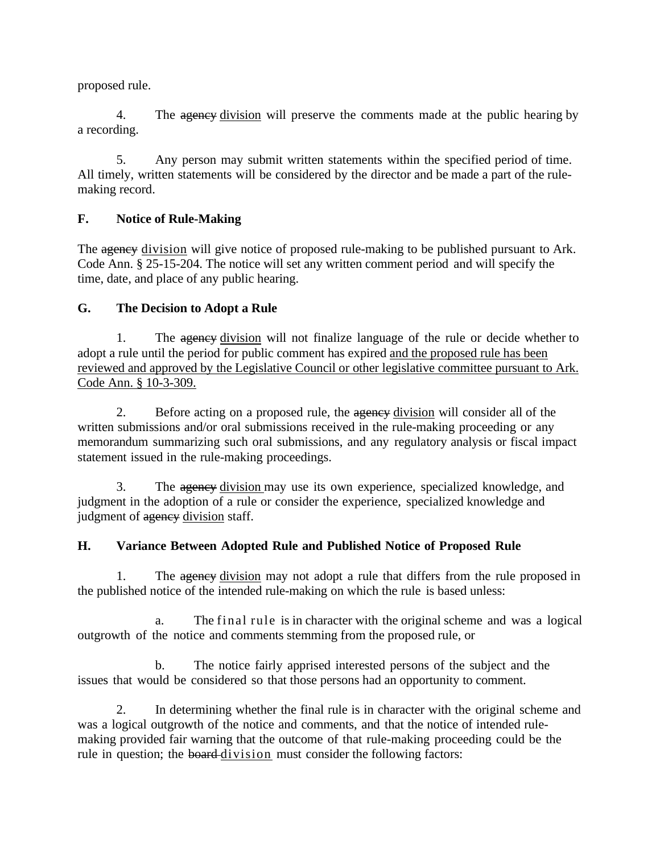proposed rule.

4. The agency division will preserve the comments made at the public hearing by a recording.

5. Any person may submit written statements within the specified period of time. All timely, written statements will be considered by the director and be made a part of the rulemaking record.

## **F. Notice of Rule-Making**

The agency division will give notice of proposed rule-making to be published pursuant to Ark. Code Ann. § 25-15-204. The notice will set any written comment period and will specify the time, date, and place of any public hearing.

## **G. The Decision to Adopt a Rule**

1. The agency division will not finalize language of the rule or decide whether to adopt a rule until the period for public comment has expired and the proposed rule has been reviewed and approved by the Legislative Council or other legislative committee pursuant to Ark. Code Ann. § 10-3-309.

2. Before acting on a proposed rule, the agency division will consider all of the written submissions and/or oral submissions received in the rule-making proceeding or any memorandum summarizing such oral submissions, and any regulatory analysis or fiscal impact statement issued in the rule-making proceedings.

3. The ageney division may use its own experience, specialized knowledge, and judgment in the adoption of a rule or consider the experience, specialized knowledge and judgment of agency division staff.

## **H. Variance Between Adopted Rule and Published Notice of Proposed Rule**

1. The agency division may not adopt a rule that differs from the rule proposed in the published notice of the intended rule-making on which the rule is based unless:

a. The final rule is in character with the original scheme and was a logical outgrowth of the notice and comments stemming from the proposed rule, or

b. The notice fairly apprised interested persons of the subject and the issues that would be considered so that those persons had an opportunity to comment.

2. In determining whether the final rule is in character with the original scheme and was a logical outgrowth of the notice and comments, and that the notice of intended rulemaking provided fair warning that the outcome of that rule-making proceeding could be the rule in question; the board-division must consider the following factors: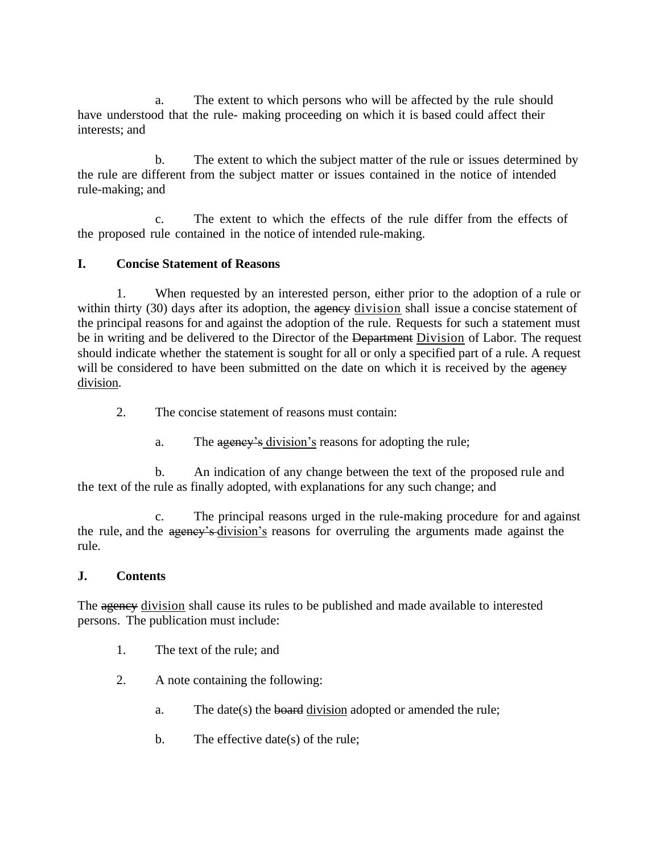a. The extent to which persons who will be affected by the rule should have understood that the rule- making proceeding on which it is based could affect their interests; and

b. The extent to which the subject matter of the rule or issues determined by the rule are different from the subject matter or issues contained in the notice of intended rule-making; and

c. The extent to which the effects of the rule differ from the effects of the proposed rule contained in the notice of intended rule-making.

## **I. Concise Statement of Reasons**

1. When requested by an interested person, either prior to the adoption of a rule or within thirty (30) days after its adoption, the agency division shall issue a concise statement of the principal reasons for and against the adoption of the rule. Requests for such a statement must be in writing and be delivered to the Director of the Department Division of Labor. The request should indicate whether the statement is sought for all or only a specified part of a rule. A request will be considered to have been submitted on the date on which it is received by the agency division.

- 2. The concise statement of reasons must contain:
	- a. The agency's division's reasons for adopting the rule;

b. An indication of any change between the text of the proposed rule and the text of the rule as finally adopted, with explanations for any such change; and

The principal reasons urged in the rule-making procedure for and against the rule, and the agency's division's reasons for overruling the arguments made against the rule.

## **J. Contents**

The agency division shall cause its rules to be published and made available to interested persons. The publication must include:

- 1. The text of the rule; and
- 2. A note containing the following:
	- a. The date(s) the **board** division adopted or amended the rule;
	- b. The effective date(s) of the rule;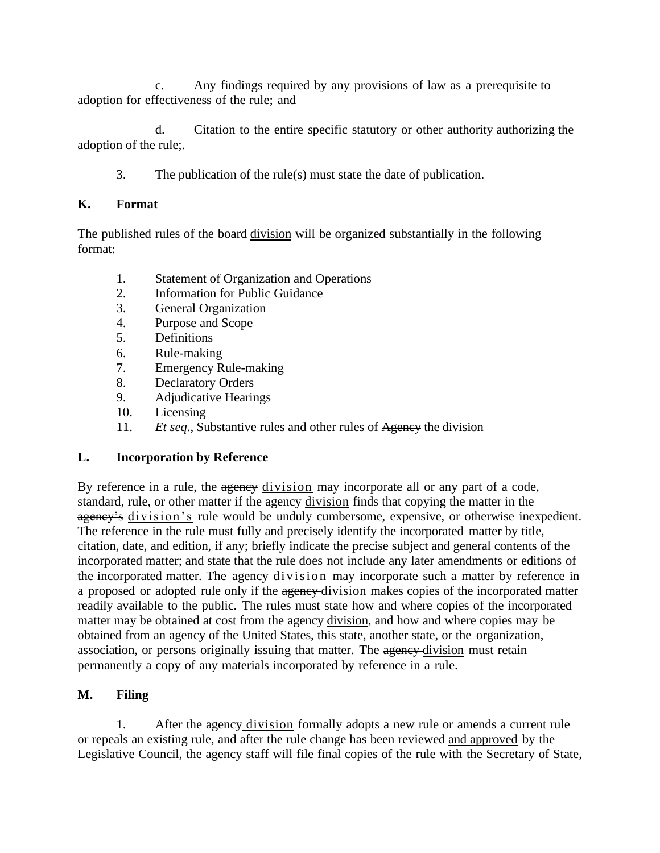c. Any findings required by any provisions of law as a prerequisite to adoption for effectiveness of the rule; and

d. Citation to the entire specific statutory or other authority authorizing the adoption of the rule;.

3. The publication of the rule(s) must state the date of publication.

## **K. Format**

The published rules of the board-division will be organized substantially in the following format:

- 1. Statement of Organization and Operations
- 2. Information for Public Guidance
- 3. General Organization
- 4. Purpose and Scope
- 5. Definitions
- 6. Rule-making
- 7. Emergency Rule-making
- 8. Declaratory Orders
- 9. Adjudicative Hearings
- 10. Licensing
- 11. *Et seq*., Substantive rules and other rules of Agency the division

## **L. Incorporation by Reference**

By reference in a rule, the agency division may incorporate all or any part of a code, standard, rule, or other matter if the agency division finds that copying the matter in the agency's division's rule would be unduly cumbersome, expensive, or otherwise inexpedient. The reference in the rule must fully and precisely identify the incorporated matter by title, citation, date, and edition, if any; briefly indicate the precise subject and general contents of the incorporated matter; and state that the rule does not include any later amendments or editions of the incorporated matter. The agency division may incorporate such a matter by reference in a proposed or adopted rule only if the agency-division makes copies of the incorporated matter readily available to the public. The rules must state how and where copies of the incorporated matter may be obtained at cost from the agency division, and how and where copies may be obtained from an agency of the United States, this state, another state, or the organization, association, or persons originally issuing that matter. The agency-division must retain permanently a copy of any materials incorporated by reference in a rule.

## **M. Filing**

1. After the agency division formally adopts a new rule or amends a current rule or repeals an existing rule, and after the rule change has been reviewed and approved by the Legislative Council, the agency staff will file final copies of the rule with the Secretary of State,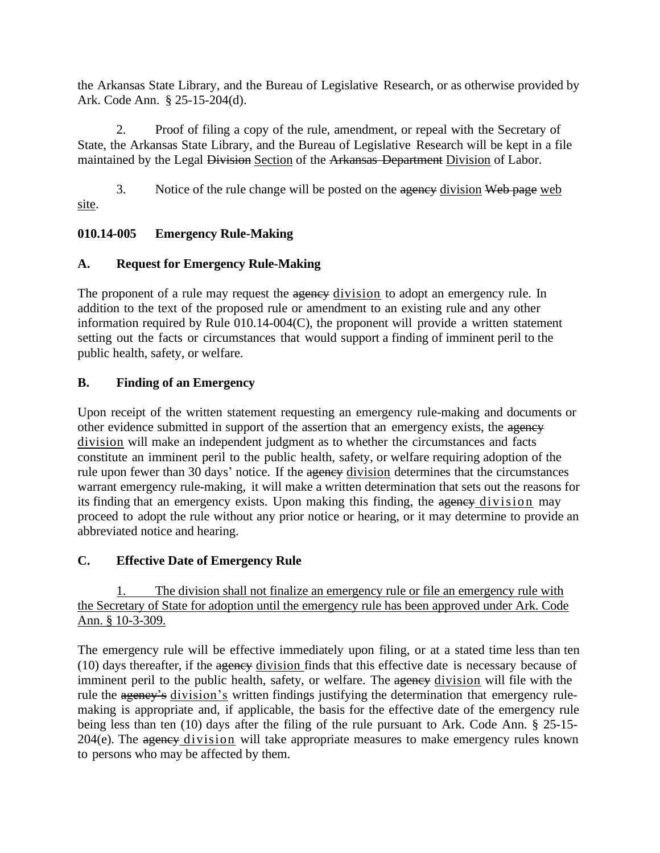the Arkansas State Library, and the Bureau of Legislative Research, or as otherwise provided by Ark. Code Ann. § 25-15-204(d).

2. Proof of filing a copy of the rule, amendment, or repeal with the Secretary of State, the Arkansas State Library, and the Bureau of Legislative Research will be kept in a file maintained by the Legal Division Section of the Arkansas Department Division of Labor.

3. Notice of the rule change will be posted on the agency division Web page web site.

## **010.14-005 Emergency Rule-Making**

## **A. Request for Emergency Rule-Making**

The proponent of a rule may request the agency division to adopt an emergency rule. In addition to the text of the proposed rule or amendment to an existing rule and any other information required by Rule 010.14-004(C), the proponent will provide a written statement setting out the facts or circumstances that would support a finding of imminent peril to the public health, safety, or welfare.

## **B. Finding of an Emergency**

Upon receipt of the written statement requesting an emergency rule-making and documents or other evidence submitted in support of the assertion that an emergency exists, the agency division will make an independent judgment as to whether the circumstances and facts constitute an imminent peril to the public health, safety, or welfare requiring adoption of the rule upon fewer than 30 days' notice. If the agency division determines that the circumstances warrant emergency rule-making, it will make a written determination that sets out the reasons for its finding that an emergency exists. Upon making this finding, the agency division may proceed to adopt the rule without any prior notice or hearing, or it may determine to provide an abbreviated notice and hearing.

## **C. Effective Date of Emergency Rule**

The division shall not finalize an emergency rule or file an emergency rule with the Secretary of State for adoption until the emergency rule has been approved under Ark. Code Ann. § 10-3-309.

The emergency rule will be effective immediately upon filing, or at a stated time less than ten (10) days thereafter, if the agency division finds that this effective date is necessary because of imminent peril to the public health, safety, or welfare. The agency division will file with the rule the agency's division's written findings justifying the determination that emergency rulemaking is appropriate and, if applicable, the basis for the effective date of the emergency rule being less than ten (10) days after the filing of the rule pursuant to Ark. Code Ann. § 25-15-  $204(e)$ . The agency division will take appropriate measures to make emergency rules known to persons who may be affected by them.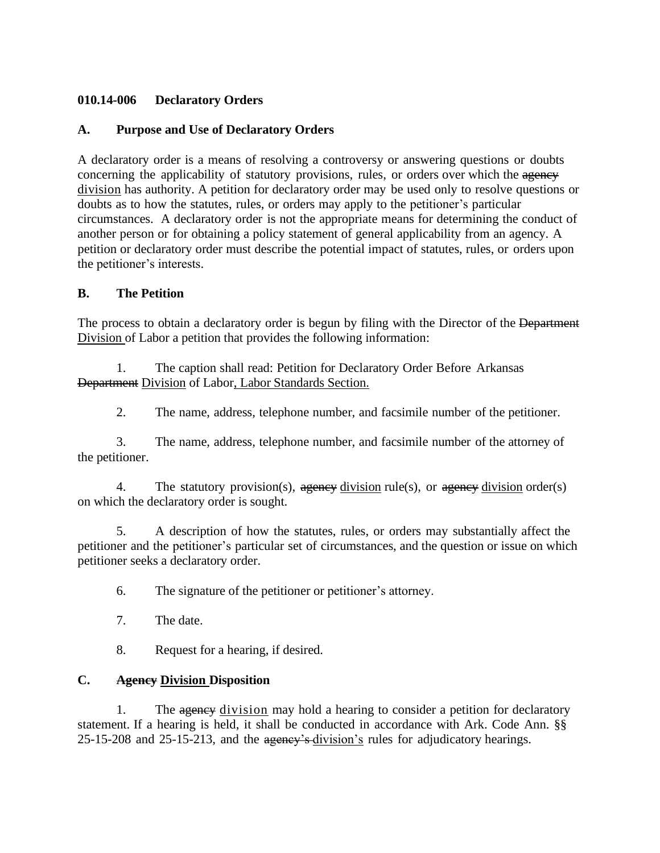#### **010.14-006 Declaratory Orders**

#### **A. Purpose and Use of Declaratory Orders**

A declaratory order is a means of resolving a controversy or answering questions or doubts concerning the applicability of statutory provisions, rules, or orders over which the agency division has authority. A petition for declaratory order may be used only to resolve questions or doubts as to how the statutes, rules, or orders may apply to the petitioner's particular circumstances. A declaratory order is not the appropriate means for determining the conduct of another person or for obtaining a policy statement of general applicability from an agency. A petition or declaratory order must describe the potential impact of statutes, rules, or orders upon the petitioner's interests.

#### **B. The Petition**

The process to obtain a declaratory order is begun by filing with the Director of the Department Division of Labor a petition that provides the following information:

1. The caption shall read: Petition for Declaratory Order Before Arkansas Department Division of Labor, Labor Standards Section.

2. The name, address, telephone number, and facsimile number of the petitioner.

3. The name, address, telephone number, and facsimile number of the attorney of the petitioner.

4. The statutory provision(s), agency division rule(s), or agency division order(s) on which the declaratory order is sought.

5. A description of how the statutes, rules, or orders may substantially affect the petitioner and the petitioner's particular set of circumstances, and the question or issue on which petitioner seeks a declaratory order.

- 6. The signature of the petitioner or petitioner's attorney.
- 7. The date.
- 8. Request for a hearing, if desired.

#### **C. Agency Division Disposition**

1. The agency division may hold a hearing to consider a petition for declaratory statement. If a hearing is held, it shall be conducted in accordance with Ark. Code Ann. §§ 25-15-208 and 25-15-213, and the ageney's division's rules for adjudicatory hearings.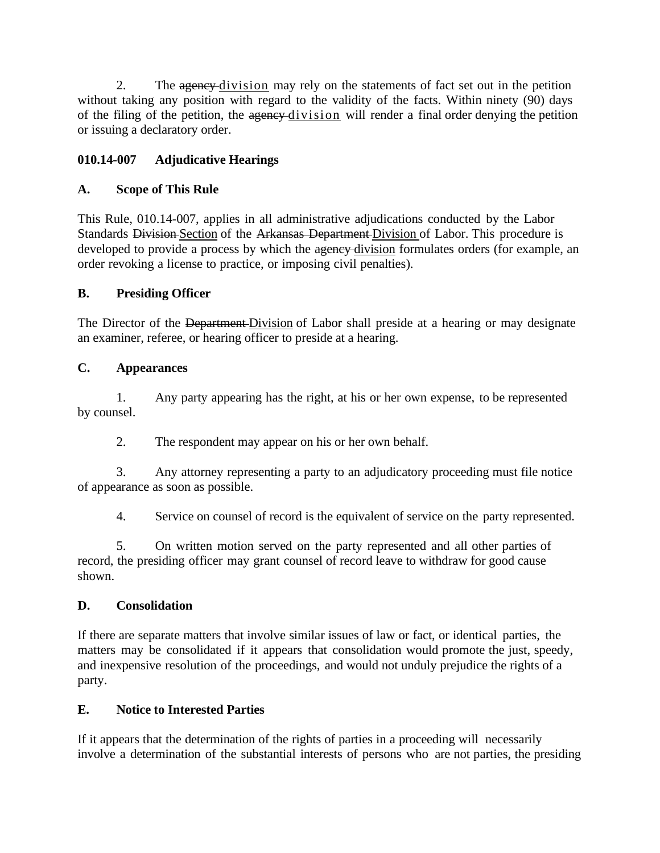2. The agency-division may rely on the statements of fact set out in the petition without taking any position with regard to the validity of the facts. Within ninety (90) days of the filing of the petition, the agency division will render a final order denying the petition or issuing a declaratory order.

## **010.14-007 Adjudicative Hearings**

#### **A. Scope of This Rule**

This Rule, 010.14-007, applies in all administrative adjudications conducted by the Labor Standards Division Section of the Arkansas Department Division of Labor. This procedure is developed to provide a process by which the agency-division formulates orders (for example, an order revoking a license to practice, or imposing civil penalties).

#### **B. Presiding Officer**

The Director of the Department-Division of Labor shall preside at a hearing or may designate an examiner, referee, or hearing officer to preside at a hearing.

#### **C. Appearances**

1. Any party appearing has the right, at his or her own expense, to be represented by counsel.

2. The respondent may appear on his or her own behalf.

3. Any attorney representing a party to an adjudicatory proceeding must file notice of appearance as soon as possible.

4. Service on counsel of record is the equivalent of service on the party represented.

5. On written motion served on the party represented and all other parties of record, the presiding officer may grant counsel of record leave to withdraw for good cause shown.

#### **D. Consolidation**

If there are separate matters that involve similar issues of law or fact, or identical parties, the matters may be consolidated if it appears that consolidation would promote the just, speedy, and inexpensive resolution of the proceedings, and would not unduly prejudice the rights of a party.

#### **E. Notice to Interested Parties**

If it appears that the determination of the rights of parties in a proceeding will necessarily involve a determination of the substantial interests of persons who are not parties, the presiding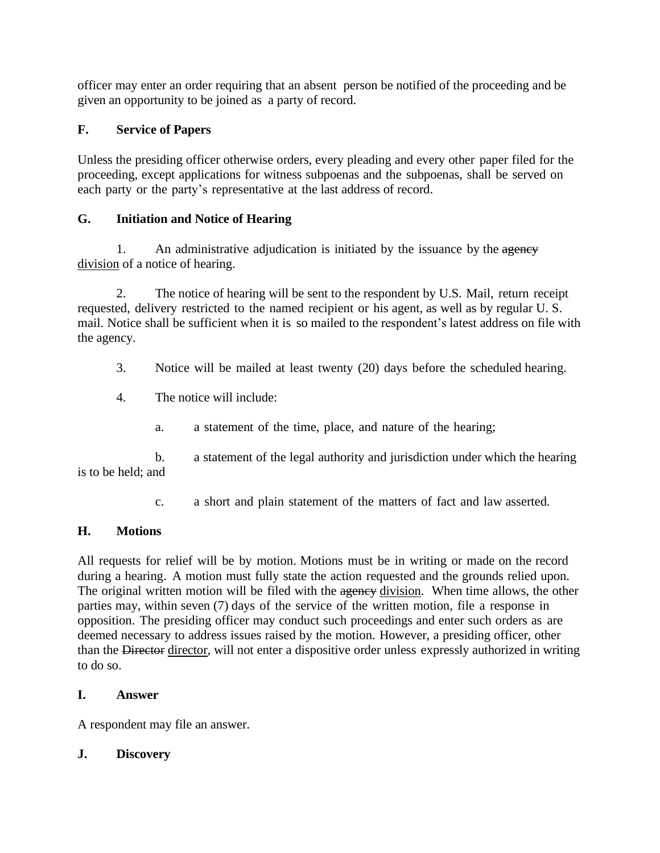officer may enter an order requiring that an absent person be notified of the proceeding and be given an opportunity to be joined as a party of record.

## **F. Service of Papers**

Unless the presiding officer otherwise orders, every pleading and every other paper filed for the proceeding, except applications for witness subpoenas and the subpoenas, shall be served on each party or the party's representative at the last address of record.

## **G. Initiation and Notice of Hearing**

1. An administrative adjudication is initiated by the issuance by the agency division of a notice of hearing.

2. The notice of hearing will be sent to the respondent by U.S. Mail, return receipt requested, delivery restricted to the named recipient or his agent, as well as by regular U. S. mail. Notice shall be sufficient when it is so mailed to the respondent's latest address on file with the agency.

- 3. Notice will be mailed at least twenty (20) days before the scheduled hearing.
- 4. The notice will include:
	- a. a statement of the time, place, and nature of the hearing;

b. a statement of the legal authority and jurisdiction under which the hearing is to be held; and

c. a short and plain statement of the matters of fact and law asserted.

## **H. Motions**

All requests for relief will be by motion. Motions must be in writing or made on the record during a hearing. A motion must fully state the action requested and the grounds relied upon. The original written motion will be filed with the agency division. When time allows, the other parties may, within seven (7) days of the service of the written motion, file a response in opposition. The presiding officer may conduct such proceedings and enter such orders as are deemed necessary to address issues raised by the motion. However, a presiding officer, other than the Director director, will not enter a dispositive order unless expressly authorized in writing to do so.

## **I. Answer**

A respondent may file an answer.

## **J. Discovery**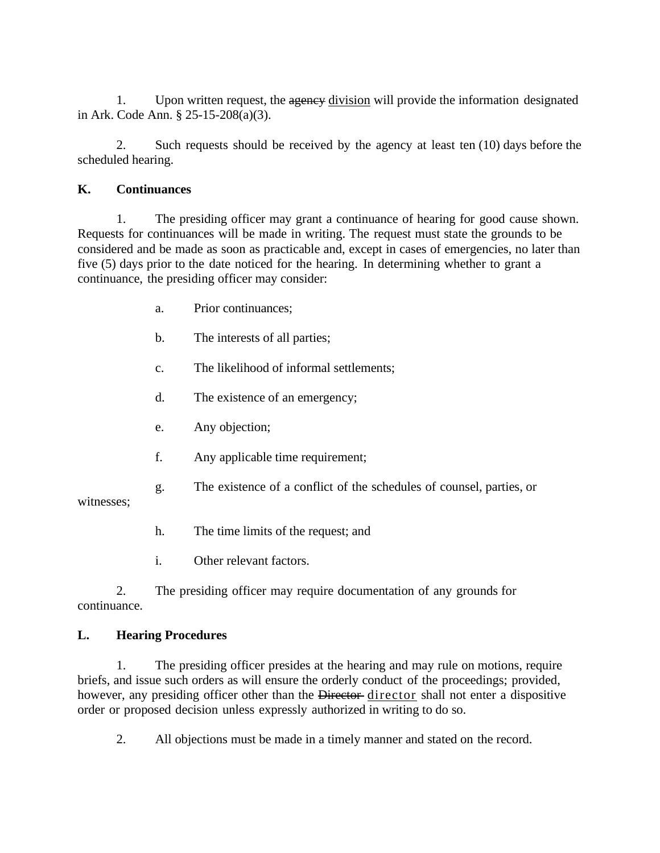1. Upon written request, the agency division will provide the information designated in Ark. Code Ann. § 25-15-208(a)(3).

2. Such requests should be received by the agency at least ten (10) days before the scheduled hearing.

## **K. Continuances**

1. The presiding officer may grant a continuance of hearing for good cause shown. Requests for continuances will be made in writing. The request must state the grounds to be considered and be made as soon as practicable and, except in cases of emergencies, no later than five (5) days prior to the date noticed for the hearing. In determining whether to grant a continuance, the presiding officer may consider:

- a. Prior continuances;
- b. The interests of all parties;
- c. The likelihood of informal settlements;
- d. The existence of an emergency;
- e. Any objection;
- f. Any applicable time requirement;
- g. The existence of a conflict of the schedules of counsel, parties, or

witnesses;

- h. The time limits of the request; and
- i. Other relevant factors.

2. The presiding officer may require documentation of any grounds for continuance.

## **L. Hearing Procedures**

1. The presiding officer presides at the hearing and may rule on motions, require briefs, and issue such orders as will ensure the orderly conduct of the proceedings; provided, however, any presiding officer other than the Director-director shall not enter a dispositive order or proposed decision unless expressly authorized in writing to do so.

2. All objections must be made in a timely manner and stated on the record.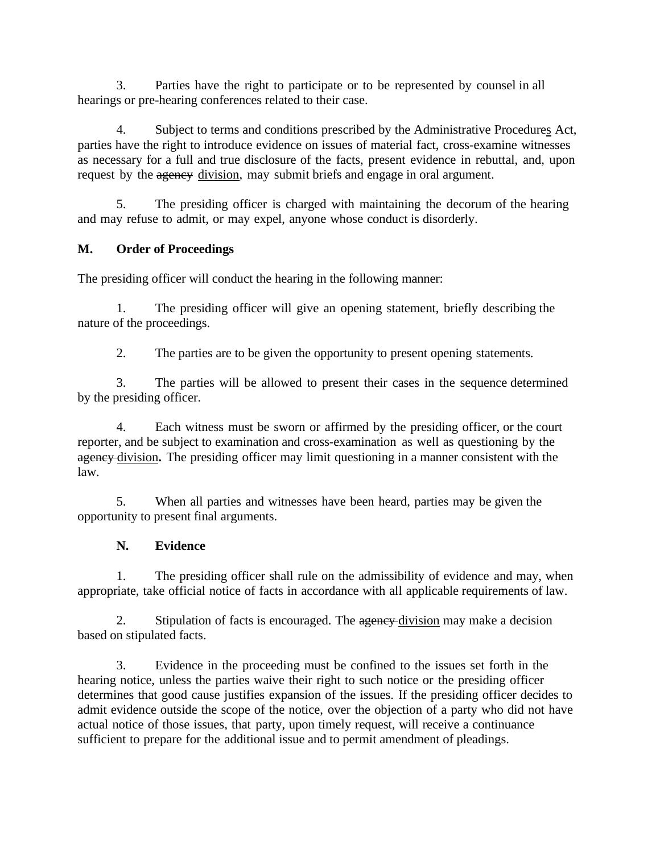3. Parties have the right to participate or to be represented by counsel in all hearings or pre-hearing conferences related to their case.

4. Subject to terms and conditions prescribed by the Administrative Procedures Act, parties have the right to introduce evidence on issues of material fact, cross-examine witnesses as necessary for a full and true disclosure of the facts, present evidence in rebuttal, and, upon request by the agency division, may submit briefs and engage in oral argument.

5. The presiding officer is charged with maintaining the decorum of the hearing and may refuse to admit, or may expel, anyone whose conduct is disorderly.

## **M. Order of Proceedings**

The presiding officer will conduct the hearing in the following manner:

1. The presiding officer will give an opening statement, briefly describing the nature of the proceedings.

2. The parties are to be given the opportunity to present opening statements.

3. The parties will be allowed to present their cases in the sequence determined by the presiding officer.

4. Each witness must be sworn or affirmed by the presiding officer, or the court reporter, and be subject to examination and cross-examination as well as questioning by the agency division**.** The presiding officer may limit questioning in a manner consistent with the law.

5. When all parties and witnesses have been heard, parties may be given the opportunity to present final arguments.

## **N. Evidence**

1. The presiding officer shall rule on the admissibility of evidence and may, when appropriate, take official notice of facts in accordance with all applicable requirements of law.

2. Stipulation of facts is encouraged. The agency-division may make a decision based on stipulated facts.

3. Evidence in the proceeding must be confined to the issues set forth in the hearing notice, unless the parties waive their right to such notice or the presiding officer determines that good cause justifies expansion of the issues. If the presiding officer decides to admit evidence outside the scope of the notice, over the objection of a party who did not have actual notice of those issues, that party, upon timely request, will receive a continuance sufficient to prepare for the additional issue and to permit amendment of pleadings.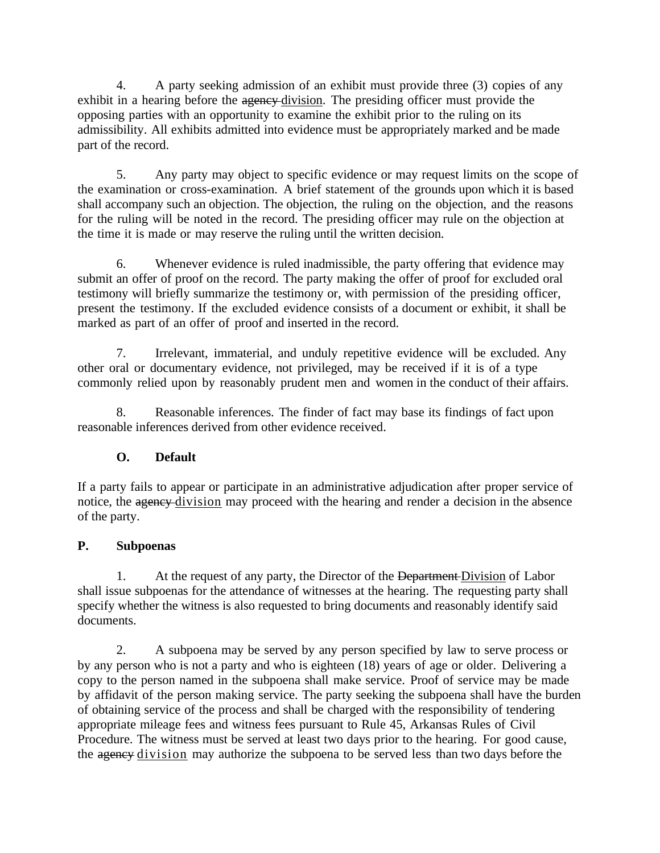4. A party seeking admission of an exhibit must provide three (3) copies of any exhibit in a hearing before the agency-division. The presiding officer must provide the opposing parties with an opportunity to examine the exhibit prior to the ruling on its admissibility. All exhibits admitted into evidence must be appropriately marked and be made part of the record.

5. Any party may object to specific evidence or may request limits on the scope of the examination or cross-examination. A brief statement of the grounds upon which it is based shall accompany such an objection. The objection, the ruling on the objection, and the reasons for the ruling will be noted in the record. The presiding officer may rule on the objection at the time it is made or may reserve the ruling until the written decision.

6. Whenever evidence is ruled inadmissible, the party offering that evidence may submit an offer of proof on the record. The party making the offer of proof for excluded oral testimony will briefly summarize the testimony or, with permission of the presiding officer, present the testimony. If the excluded evidence consists of a document or exhibit, it shall be marked as part of an offer of proof and inserted in the record.

7. Irrelevant, immaterial, and unduly repetitive evidence will be excluded. Any other oral or documentary evidence, not privileged, may be received if it is of a type commonly relied upon by reasonably prudent men and women in the conduct of their affairs.

8. Reasonable inferences. The finder of fact may base its findings of fact upon reasonable inferences derived from other evidence received.

## **O. Default**

If a party fails to appear or participate in an administrative adjudication after proper service of notice, the agency division may proceed with the hearing and render a decision in the absence of the party.

## **P. Subpoenas**

1. At the request of any party, the Director of the Department Division of Labor shall issue subpoenas for the attendance of witnesses at the hearing. The requesting party shall specify whether the witness is also requested to bring documents and reasonably identify said documents.

2. A subpoena may be served by any person specified by law to serve process or by any person who is not a party and who is eighteen (18) years of age or older. Delivering a copy to the person named in the subpoena shall make service. Proof of service may be made by affidavit of the person making service. The party seeking the subpoena shall have the burden of obtaining service of the process and shall be charged with the responsibility of tendering appropriate mileage fees and witness fees pursuant to Rule 45, Arkansas Rules of Civil Procedure. The witness must be served at least two days prior to the hearing. For good cause, the agency division may authorize the subpoena to be served less than two days before the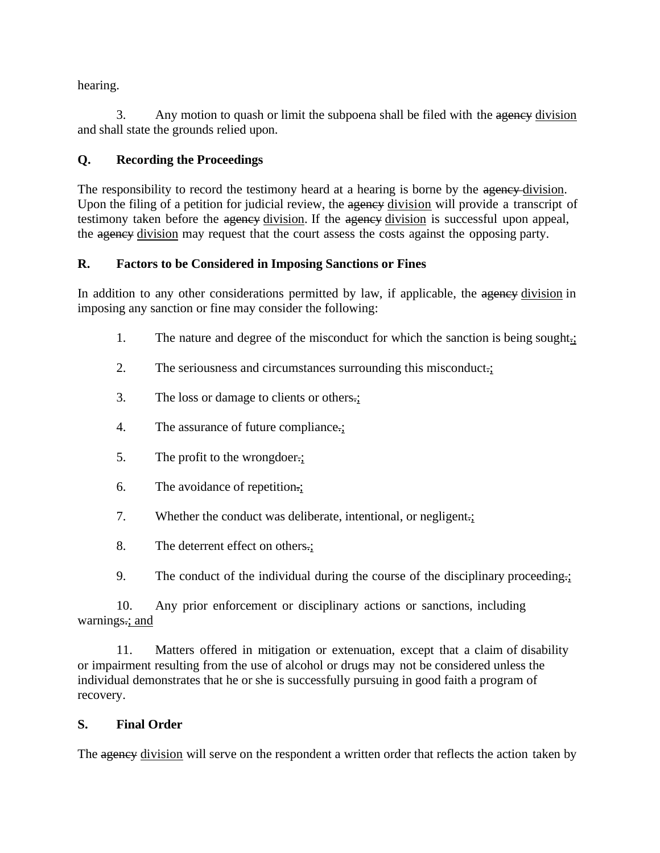hearing.

3. Any motion to quash or limit the subpoena shall be filed with the agency division and shall state the grounds relied upon.

## **Q. Recording the Proceedings**

The responsibility to record the testimony heard at a hearing is borne by the agency division. Upon the filing of a petition for judicial review, the agency division will provide a transcript of testimony taken before the agency division. If the agency division is successful upon appeal, the agency division may request that the court assess the costs against the opposing party.

## **R. Factors to be Considered in Imposing Sanctions or Fines**

In addition to any other considerations permitted by law, if applicable, the agency division in imposing any sanction or fine may consider the following:

- 1. The nature and degree of the misconduct for which the sanction is being sought.;
- 2. The seriousness and circumstances surrounding this misconduct.;
- 3. The loss or damage to clients or others.;
- 4. The assurance of future compliance.;
- 5. The profit to the wrongdoer.;
- 6. The avoidance of repetition.;
- 7. Whether the conduct was deliberate, intentional, or negligent.;
- 8. The deterrent effect on others.;
- 9. The conduct of the individual during the course of the disciplinary proceeding.;

10. Any prior enforcement or disciplinary actions or sanctions, including warnings.; and

11. Matters offered in mitigation or extenuation, except that a claim of disability or impairment resulting from the use of alcohol or drugs may not be considered unless the individual demonstrates that he or she is successfully pursuing in good faith a program of recovery.

## **S. Final Order**

The agency division will serve on the respondent a written order that reflects the action taken by